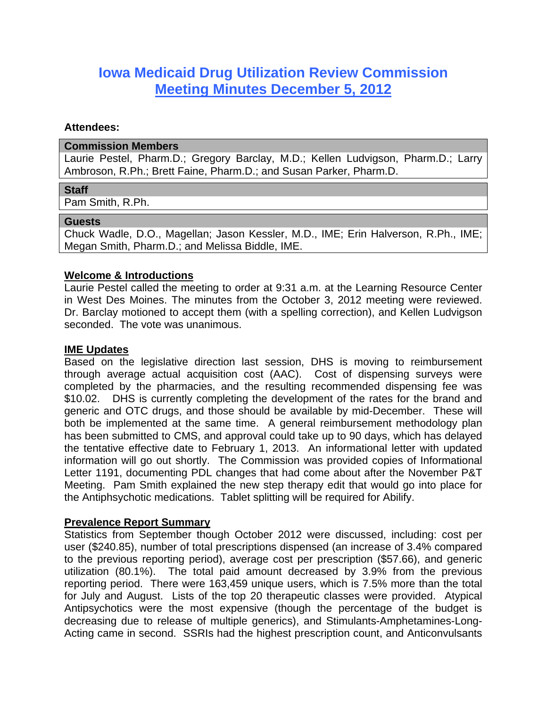# **Iowa Medicaid Drug Utilization Review Commission Meeting Minutes December 5, 2012**

## **Attendees:**

#### **Commission Members**

Laurie Pestel, Pharm.D.; Gregory Barclay, M.D.; Kellen Ludvigson, Pharm.D.; Larry Ambroson, R.Ph.; Brett Faine, Pharm.D.; and Susan Parker, Pharm.D.

#### **Staff**

Pam Smith, R.Ph.

#### **Guests**

Chuck Wadle, D.O., Magellan; Jason Kessler, M.D., IME; Erin Halverson, R.Ph., IME; Megan Smith, Pharm.D.; and Melissa Biddle, IME.

## **Welcome & Introductions**

Laurie Pestel called the meeting to order at 9:31 a.m. at the Learning Resource Center in West Des Moines. The minutes from the October 3, 2012 meeting were reviewed. Dr. Barclay motioned to accept them (with a spelling correction), and Kellen Ludvigson seconded. The vote was unanimous.

## **IME Updates**

Based on the legislative direction last session, DHS is moving to reimbursement through average actual acquisition cost (AAC). Cost of dispensing surveys were completed by the pharmacies, and the resulting recommended dispensing fee was \$10.02. DHS is currently completing the development of the rates for the brand and generic and OTC drugs, and those should be available by mid-December. These will both be implemented at the same time. A general reimbursement methodology plan has been submitted to CMS, and approval could take up to 90 days, which has delayed the tentative effective date to February 1, 2013. An informational letter with updated information will go out shortly. The Commission was provided copies of Informational Letter 1191, documenting PDL changes that had come about after the November P&T Meeting. Pam Smith explained the new step therapy edit that would go into place for the Antiphsychotic medications. Tablet splitting will be required for Abilify.

## **Prevalence Report Summary**

Statistics from September though October 2012 were discussed, including: cost per user (\$240.85), number of total prescriptions dispensed (an increase of 3.4% compared to the previous reporting period), average cost per prescription (\$57.66), and generic utilization (80.1%). The total paid amount decreased by 3.9% from the previous reporting period. There were 163,459 unique users, which is 7.5% more than the total for July and August. Lists of the top 20 therapeutic classes were provided. Atypical Antipsychotics were the most expensive (though the percentage of the budget is decreasing due to release of multiple generics), and Stimulants-Amphetamines-Long-Acting came in second. SSRIs had the highest prescription count, and Anticonvulsants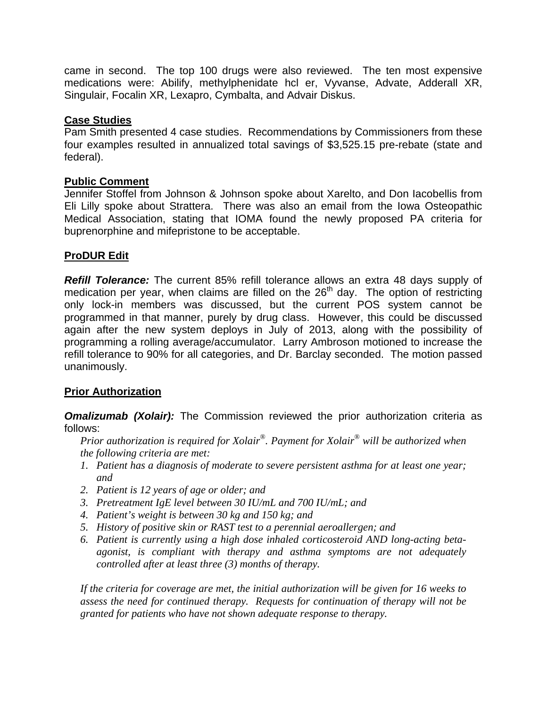came in second. The top 100 drugs were also reviewed. The ten most expensive medications were: Abilify, methylphenidate hcl er, Vyvanse, Advate, Adderall XR, Singulair, Focalin XR, Lexapro, Cymbalta, and Advair Diskus.

## **Case Studies**

Pam Smith presented 4 case studies. Recommendations by Commissioners from these four examples resulted in annualized total savings of \$3,525.15 pre-rebate (state and federal).

## **Public Comment**

Jennifer Stoffel from Johnson & Johnson spoke about Xarelto, and Don Iacobellis from Eli Lilly spoke about Strattera. There was also an email from the Iowa Osteopathic Medical Association, stating that IOMA found the newly proposed PA criteria for buprenorphine and mifepristone to be acceptable.

# **ProDUR Edit**

*Refill Tolerance:* The current 85% refill tolerance allows an extra 48 days supply of medication per year, when claims are filled on the  $26<sup>th</sup>$  day. The option of restricting only lock-in members was discussed, but the current POS system cannot be programmed in that manner, purely by drug class. However, this could be discussed again after the new system deploys in July of 2013, along with the possibility of programming a rolling average/accumulator. Larry Ambroson motioned to increase the refill tolerance to 90% for all categories, and Dr. Barclay seconded. The motion passed unanimously.

# **Prior Authorization**

**Omalizumab (Xolair):** The Commission reviewed the prior authorization criteria as follows:

*Prior authorization is required for Xolair®. Payment for Xolair® will be authorized when the following criteria are met:* 

- *1. Patient has a diagnosis of moderate to severe persistent asthma for at least one year; and*
- *2. Patient is 12 years of age or older; and*
- *3. Pretreatment IgE level between 30 IU/mL and 700 IU/mL; and*
- *4. Patient's weight is between 30 kg and 150 kg; and*
- *5. History of positive skin or RAST test to a perennial aeroallergen; and*
- *6. Patient is currently using a high dose inhaled corticosteroid AND long-acting betaagonist, is compliant with therapy and asthma symptoms are not adequately controlled after at least three (3) months of therapy.*

*If the criteria for coverage are met, the initial authorization will be given for 16 weeks to assess the need for continued therapy. Requests for continuation of therapy will not be granted for patients who have not shown adequate response to therapy.*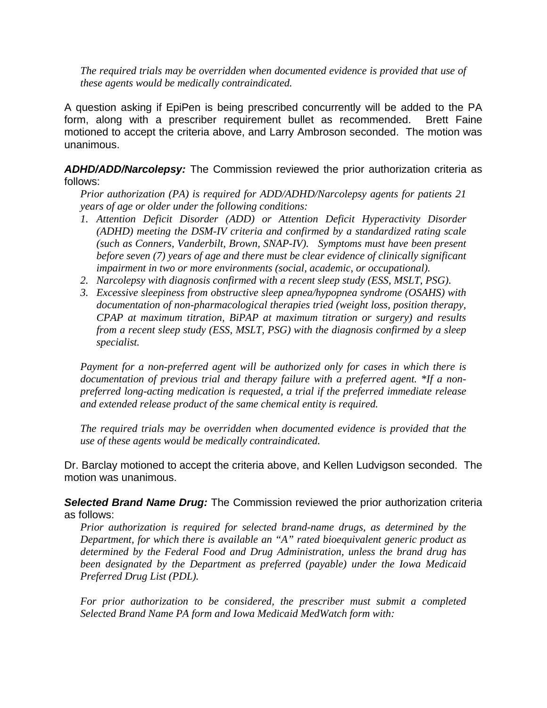*The required trials may be overridden when documented evidence is provided that use of these agents would be medically contraindicated.* 

A question asking if EpiPen is being prescribed concurrently will be added to the PA form, along with a prescriber requirement bullet as recommended. Brett Faine motioned to accept the criteria above, and Larry Ambroson seconded. The motion was unanimous.

*ADHD/ADD/Narcolepsy:* The Commission reviewed the prior authorization criteria as follows:

*Prior authorization (PA) is required for ADD/ADHD/Narcolepsy agents for patients 21 years of age or older under the following conditions:* 

- *1. Attention Deficit Disorder (ADD) or Attention Deficit Hyperactivity Disorder (ADHD) meeting the DSM-IV criteria and confirmed by a standardized rating scale (such as Conners, Vanderbilt, Brown, SNAP-IV). Symptoms must have been present before seven (7) years of age and there must be clear evidence of clinically significant impairment in two or more environments (social, academic, or occupational).*
- *2. Narcolepsy with diagnosis confirmed with a recent sleep study (ESS, MSLT, PSG).*
- *3. Excessive sleepiness from obstructive sleep apnea/hypopnea syndrome (OSAHS) with documentation of non-pharmacological therapies tried (weight loss, position therapy, CPAP at maximum titration, BiPAP at maximum titration or surgery) and results from a recent sleep study (ESS, MSLT, PSG) with the diagnosis confirmed by a sleep specialist.*

*Payment for a non-preferred agent will be authorized only for cases in which there is documentation of previous trial and therapy failure with a preferred agent. \*If a nonpreferred long-acting medication is requested, a trial if the preferred immediate release and extended release product of the same chemical entity is required.* 

*The required trials may be overridden when documented evidence is provided that the use of these agents would be medically contraindicated.* 

Dr. Barclay motioned to accept the criteria above, and Kellen Ludvigson seconded. The motion was unanimous.

*Selected Brand Name Drug:* The Commission reviewed the prior authorization criteria as follows:

*Prior authorization is required for selected brand-name drugs, as determined by the Department, for which there is available an "A" rated bioequivalent generic product as determined by the Federal Food and Drug Administration, unless the brand drug has been designated by the Department as preferred (payable) under the Iowa Medicaid Preferred Drug List (PDL).* 

*For prior authorization to be considered, the prescriber must submit a completed Selected Brand Name PA form and Iowa Medicaid MedWatch form with:*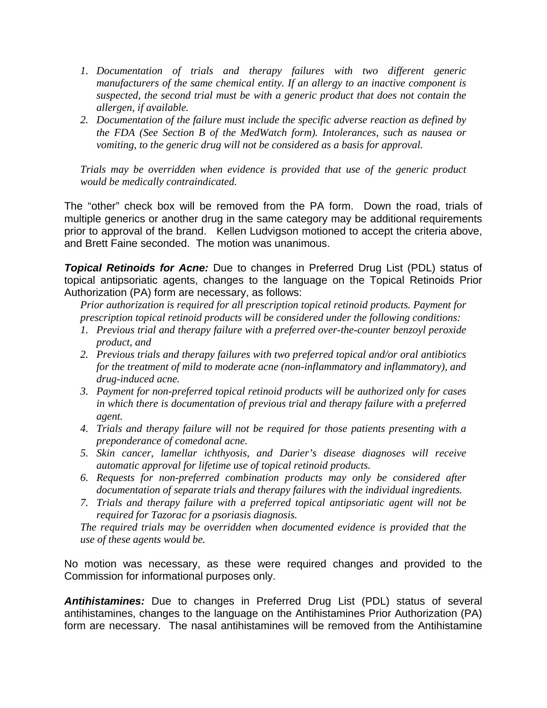- *1. Documentation of trials and therapy failures with two different generic manufacturers of the same chemical entity. If an allergy to an inactive component is suspected, the second trial must be with a generic product that does not contain the allergen, if available.*
- *2. Documentation of the failure must include the specific adverse reaction as defined by the FDA (See Section B of the MedWatch form). Intolerances, such as nausea or vomiting, to the generic drug will not be considered as a basis for approval.*

*Trials may be overridden when evidence is provided that use of the generic product would be medically contraindicated.*

The "other" check box will be removed from the PA form. Down the road, trials of multiple generics or another drug in the same category may be additional requirements prior to approval of the brand. Kellen Ludvigson motioned to accept the criteria above, and Brett Faine seconded. The motion was unanimous.

*Topical Retinoids for Acne:* Due to changes in Preferred Drug List (PDL) status of topical antipsoriatic agents, changes to the language on the Topical Retinoids Prior Authorization (PA) form are necessary, as follows:

*Prior authorization is required for all prescription topical retinoid products. Payment for prescription topical retinoid products will be considered under the following conditions:* 

- *1. Previous trial and therapy failure with a preferred over-the-counter benzoyl peroxide product, and*
- *2. Previous trials and therapy failures with two preferred topical and/or oral antibiotics for the treatment of mild to moderate acne (non-inflammatory and inflammatory), and drug-induced acne.*
- *3. Payment for non-preferred topical retinoid products will be authorized only for cases in which there is documentation of previous trial and therapy failure with a preferred agent.*
- *4. Trials and therapy failure will not be required for those patients presenting with a preponderance of comedonal acne.*
- *5. Skin cancer, lamellar ichthyosis, and Darier's disease diagnoses will receive automatic approval for lifetime use of topical retinoid products.*
- *6. Requests for non-preferred combination products may only be considered after documentation of separate trials and therapy failures with the individual ingredients.*
- *7. Trials and therapy failure with a preferred topical antipsoriatic agent will not be required for Tazorac for a psoriasis diagnosis.*

*The required trials may be overridden when documented evidence is provided that the use of these agents would be.* 

No motion was necessary, as these were required changes and provided to the Commission for informational purposes only.

*Antihistamines:* Due to changes in Preferred Drug List (PDL) status of several antihistamines, changes to the language on the Antihistamines Prior Authorization (PA) form are necessary. The nasal antihistamines will be removed from the Antihistamine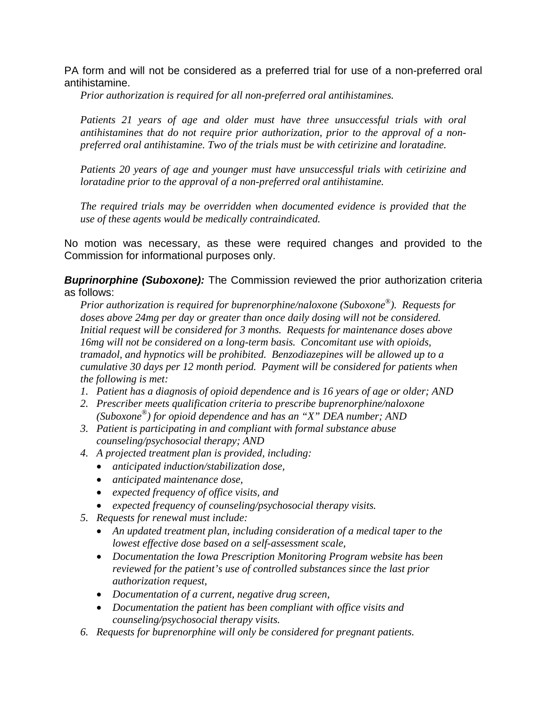PA form and will not be considered as a preferred trial for use of a non-preferred oral antihistamine.

*Prior authorization is required for all non-preferred oral antihistamines.* 

*Patients 21 years of age and older must have three unsuccessful trials with oral antihistamines that do not require prior authorization, prior to the approval of a nonpreferred oral antihistamine. Two of the trials must be with cetirizine and loratadine.* 

*Patients 20 years of age and younger must have unsuccessful trials with cetirizine and loratadine prior to the approval of a non-preferred oral antihistamine.* 

*The required trials may be overridden when documented evidence is provided that the use of these agents would be medically contraindicated.*

No motion was necessary, as these were required changes and provided to the Commission for informational purposes only.

**Buprinorphine (Suboxone):** The Commission reviewed the prior authorization criteria as follows:

*Prior authorization is required for buprenorphine/naloxone (Suboxone®). Requests for doses above 24mg per day or greater than once daily dosing will not be considered. Initial request will be considered for 3 months. Requests for maintenance doses above 16mg will not be considered on a long-term basis. Concomitant use with opioids, tramadol, and hypnotics will be prohibited. Benzodiazepines will be allowed up to a cumulative 30 days per 12 month period. Payment will be considered for patients when the following is met:* 

- *1. Patient has a diagnosis of opioid dependence and is 16 years of age or older; AND*
- *2. Prescriber meets qualification criteria to prescribe buprenorphine/naloxone (Suboxone®) for opioid dependence and has an "X" DEA number; AND*
- *3. Patient is participating in and compliant with formal substance abuse counseling/psychosocial therapy; AND*
- *4. A projected treatment plan is provided, including:* 
	- *anticipated induction/stabilization dose,*
	- *anticipated maintenance dose,*
	- *expected frequency of office visits, and*
	- *expected frequency of counseling/psychosocial therapy visits.*
- *5. Requests for renewal must include:* 
	- *An updated treatment plan, including consideration of a medical taper to the lowest effective dose based on a self-assessment scale,*
	- *Documentation the Iowa Prescription Monitoring Program website has been reviewed for the patient's use of controlled substances since the last prior authorization request,*
	- *Documentation of a current, negative drug screen,*
	- *Documentation the patient has been compliant with office visits and counseling/psychosocial therapy visits.*
- *6. Requests for buprenorphine will only be considered for pregnant patients.*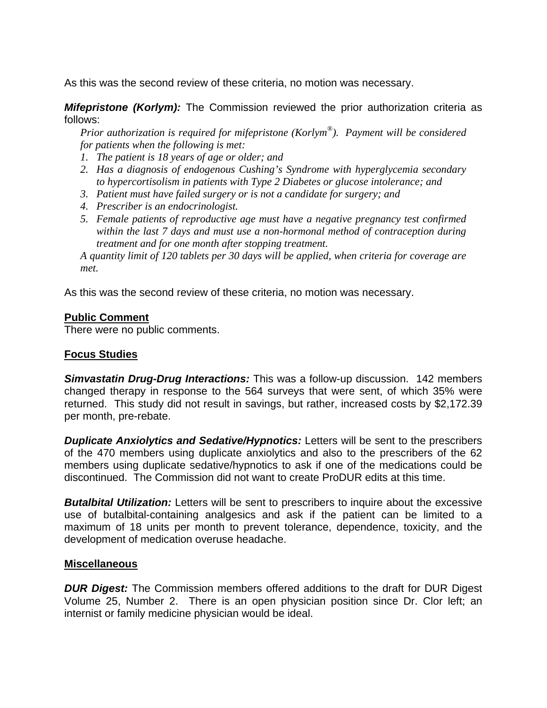As this was the second review of these criteria, no motion was necessary.

*Mifepristone (Korlym):* The Commission reviewed the prior authorization criteria as follows:

*Prior authorization is required for mifepristone (Korlym®). Payment will be considered for patients when the following is met:* 

- *1. The patient is 18 years of age or older; and*
- *2. Has a diagnosis of endogenous Cushing's Syndrome with hyperglycemia secondary to hypercortisolism in patients with Type 2 Diabetes or glucose intolerance; and*
- *3. Patient must have failed surgery or is not a candidate for surgery; and*
- *4. Prescriber is an endocrinologist.*
- *5. Female patients of reproductive age must have a negative pregnancy test confirmed within the last 7 days and must use a non-hormonal method of contraception during treatment and for one month after stopping treatment.*

*A quantity limit of 120 tablets per 30 days will be applied, when criteria for coverage are met.* 

As this was the second review of these criteria, no motion was necessary.

## **Public Comment**

There were no public comments.

## **Focus Studies**

*Simvastatin Drug-Drug Interactions:* This was a follow-up discussion. 142 members changed therapy in response to the 564 surveys that were sent, of which 35% were returned. This study did not result in savings, but rather, increased costs by \$2,172.39 per month, pre-rebate.

*Duplicate Anxiolytics and Sedative/Hypnotics: Letters will be sent to the prescribers* of the 470 members using duplicate anxiolytics and also to the prescribers of the 62 members using duplicate sedative/hypnotics to ask if one of the medications could be discontinued. The Commission did not want to create ProDUR edits at this time.

**Butalbital Utilization:** Letters will be sent to prescribers to inquire about the excessive use of butalbital-containing analgesics and ask if the patient can be limited to a maximum of 18 units per month to prevent tolerance, dependence, toxicity, and the development of medication overuse headache.

## **Miscellaneous**

*DUR Digest:* The Commission members offered additions to the draft for DUR Digest Volume 25, Number 2. There is an open physician position since Dr. Clor left; an internist or family medicine physician would be ideal.